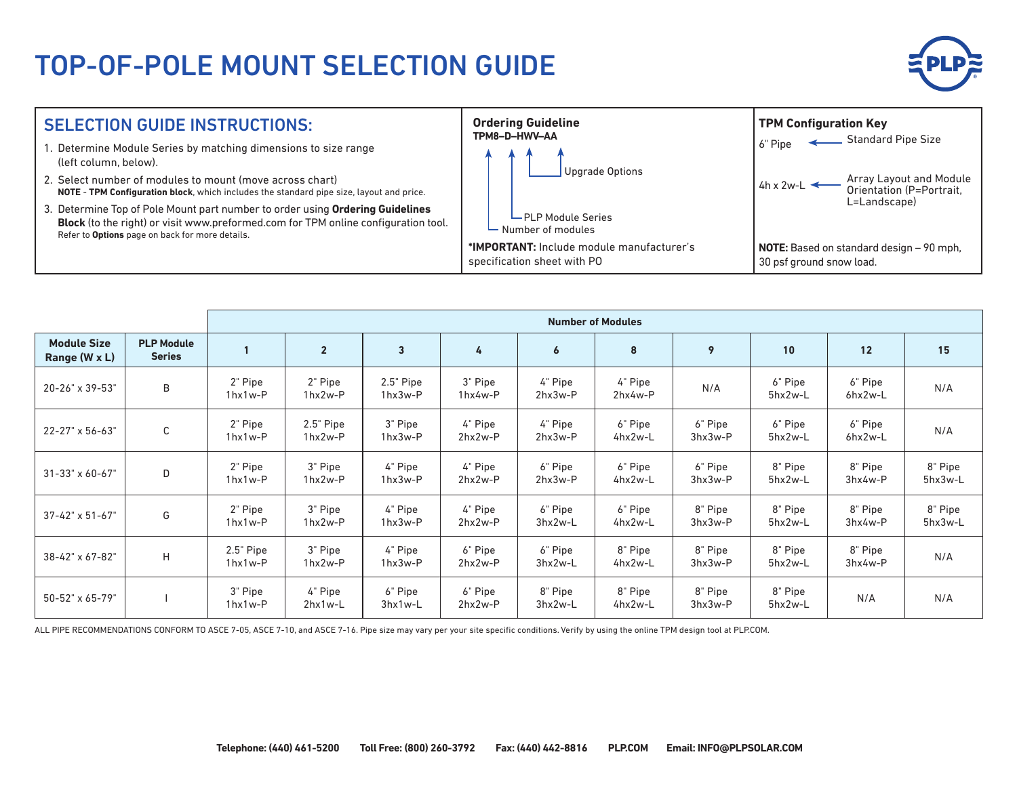## TOP-OF-POLE MOUNT SELECTION GUIDE





|                                     |                                    | <b>Number of Modules</b>  |                          |                          |                      |                      |                          |                      |                                                  |                    |                      |
|-------------------------------------|------------------------------------|---------------------------|--------------------------|--------------------------|----------------------|----------------------|--------------------------|----------------------|--------------------------------------------------|--------------------|----------------------|
| <b>Module Size</b><br>Range (W x L) | <b>PLP Module</b><br><b>Series</b> |                           | $\overline{2}$           | $\overline{3}$           | 4                    | 6                    | 8                        | 9                    | 10                                               | 12                 | 15                   |
| 20-26" x 39-53"                     | B                                  | 2" Pipe<br>$1 hx1w-P$     | 2" Pipe<br>1hx2w-P       | $2.5"$ Pipe<br>$1hx3w-P$ | 3" Pipe<br>1hx4w-P   | 4" Pipe<br>$2hx3w-P$ | 4" Pipe<br>2hx4w-P       | N/A                  | 6" Pipe<br>5hx2w-L                               | 6" Pipe<br>6hx2w-L | N/A                  |
| $22 - 27$ " x 56-63"                | C                                  | 2" Pipe<br>$1 hx1w-P$     | $2.5"$ Pipe<br>$1hx2w-P$ | 3" Pipe<br>$1hx3w-P$     | 4" Pipe<br>$2hx2w-P$ | 4" Pipe<br>$2hx3w-P$ | 6" Pipe<br>$4$ hx $2w-L$ | 6" Pipe<br>$3hx3w-P$ | 6" Pipe<br>5hx2w-L                               | 6" Pipe<br>6hx2w-L | N/A                  |
| $31 - 33" \times 60 - 67"$          | D                                  | 2" Pipe<br>$1 hx1w-P$     | 3" Pipe<br>$1hx2w-P$     | 4" Pipe<br>$1hx3w-P$     | 4" Pipe<br>$2hx2w-P$ | 6" Pipe<br>$2hx3w-P$ | 6" Pipe<br>4hx2w-L       | 6" Pipe<br>$3hx3w-P$ | 8" Pipe<br>5hx2w-L                               | 8" Pipe<br>3hx4w-P | 8" Pipe<br>5hx3w-L   |
| $37 - 42$ " x 51-67"                | G                                  | 2" Pipe<br>$1 hx1w-P$     | 3" Pipe<br>$1hx2w-P$     | 4" Pipe<br>$1hx3w-P$     | 4" Pipe<br>$2hx2w-P$ | 6" Pipe<br>$3hx2w-L$ | 6" Pipe<br>$4$ hx $2w-L$ | 8" Pipe<br>$3hx3w-P$ | 8" Pipe<br>$5$ <sub>hx</sub> $2w$ <sup>-</sup> L | 8" Pipe<br>3hx4w-P | 8" Pipe<br>$5hx3w-L$ |
| 38-42" x 67-82"                     | H                                  | $2.5"$ Pipe<br>$1 hx1w-P$ | 3" Pipe<br>$1hx2w-P$     | 4" Pipe<br>$1hx3w-P$     | 6" Pipe<br>$2hx2w-P$ | 6" Pipe<br>3hx2w-L   | 8" Pipe<br>$4$ hx $2w-L$ | 8" Pipe<br>$3hx3w-P$ | 8" Pipe<br>5hx2w-L                               | 8" Pipe<br>3hx4w-P | N/A                  |
| 50-52" x 65-79"                     |                                    | 3" Pipe<br>$1 hx1w-P$     | 4" Pipe<br>$2hx1w-L$     | 6" Pipe<br>$3hx1w-L$     | 6" Pipe<br>$2hx2w-P$ | 8" Pipe<br>3hx2w-L   | 8" Pipe<br>4hx2w-L       | 8" Pipe<br>3hx3w-P   | 8" Pipe<br>5hx2w-L                               | N/A                | N/A                  |

ALL PIPE RECOMMENDATIONS CONFORM TO ASCE 7-05, ASCE 7-10, and ASCE 7-16. Pipe size may vary per your site specific conditions. Verify by using the online TPM design tool at PLP.COM.